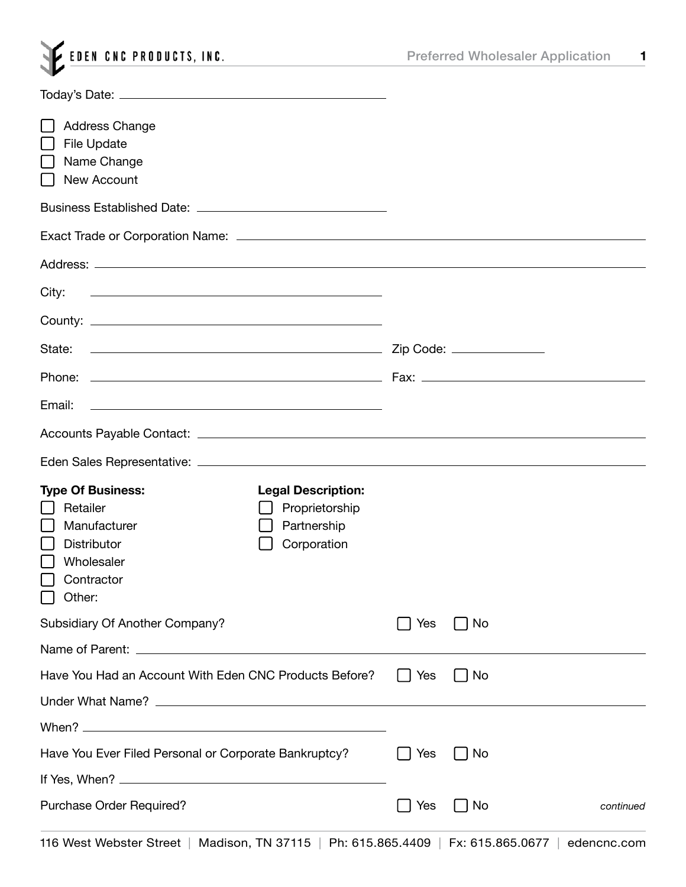| <b>Preferred Wholesaler Application</b> | 1 |
|-----------------------------------------|---|
|-----------------------------------------|---|

| <b>Address Change</b><br><b>File Update</b><br>Name Change<br>New Account                                                     |                                                                           |            |           |           |
|-------------------------------------------------------------------------------------------------------------------------------|---------------------------------------------------------------------------|------------|-----------|-----------|
|                                                                                                                               |                                                                           |            |           |           |
|                                                                                                                               |                                                                           |            |           |           |
|                                                                                                                               |                                                                           |            |           |           |
| City:<br><u> Alexandria de la contrada de la contrada de la contrada de la contrada de la contrada de la contrada de la c</u> |                                                                           |            |           |           |
|                                                                                                                               |                                                                           |            |           |           |
|                                                                                                                               |                                                                           |            |           |           |
|                                                                                                                               |                                                                           |            |           |           |
| Email:<br><u> 1989 - Johann Barn, fransk politik formuler (d. 1989)</u>                                                       |                                                                           |            |           |           |
|                                                                                                                               |                                                                           |            |           |           |
|                                                                                                                               |                                                                           |            |           |           |
| <b>Type Of Business:</b><br>Retailer<br>Manufacturer<br><b>Distributor</b><br>Wholesaler<br>$\Box$ Contractor<br>Other:       | <b>Legal Description:</b><br>Proprietorship<br>Partnership<br>Corporation |            |           |           |
| Subsidiary Of Another Company?                                                                                                |                                                                           | Yes        | No        |           |
|                                                                                                                               |                                                                           |            |           |           |
| Have You Had an Account With Eden CNC Products Before?                                                                        |                                                                           | $\Box$ Yes | No        |           |
|                                                                                                                               |                                                                           |            |           |           |
|                                                                                                                               |                                                                           |            |           |           |
| Have You Ever Filed Personal or Corporate Bankruptcy?                                                                         |                                                                           | Yes        | <b>No</b> |           |
|                                                                                                                               |                                                                           |            |           |           |
| Purchase Order Required?                                                                                                      |                                                                           | Yes        | No        | continued |
| 116 West Webster Street   Medican TN 27115   Db: 615 865 4400   Ev: 615 865 8677   edenomo com                                |                                                                           |            |           |           |

EDEN CNC PRODUCTS, INC.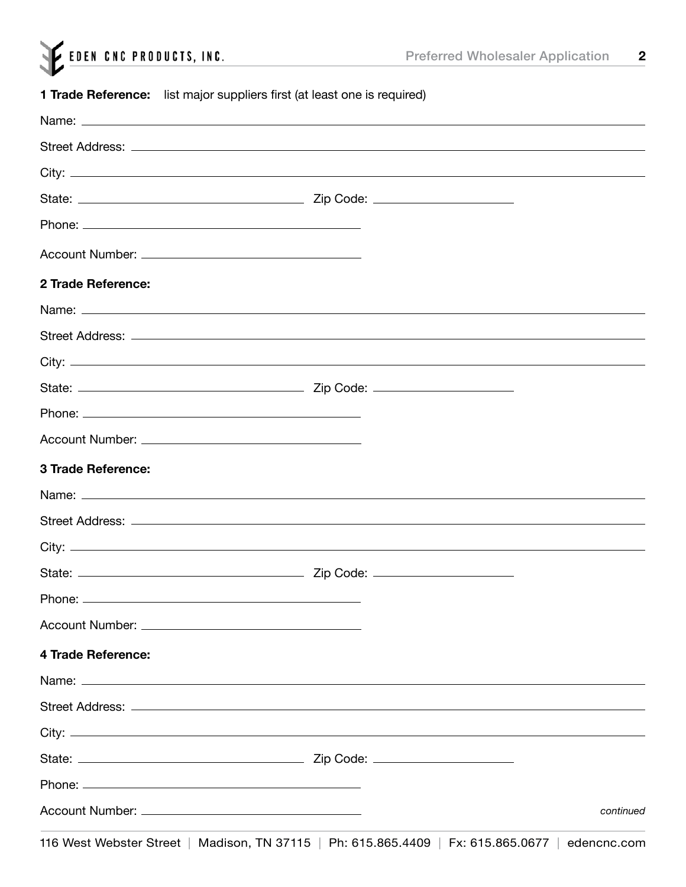|  | EDEN CNC PRODUCTS, INC. |  |
|--|-------------------------|--|
|  |                         |  |

## **1 Trade Reference:** list major suppliers first (at least one is required)

| Street Address: <u>www.community.com/inductors/inductors/inductors/inductors/inductors/inductors/inductors/inductors</u>                                                                                                       |             |
|--------------------------------------------------------------------------------------------------------------------------------------------------------------------------------------------------------------------------------|-------------|
|                                                                                                                                                                                                                                |             |
|                                                                                                                                                                                                                                |             |
|                                                                                                                                                                                                                                |             |
|                                                                                                                                                                                                                                |             |
| 2 Trade Reference:                                                                                                                                                                                                             |             |
|                                                                                                                                                                                                                                |             |
|                                                                                                                                                                                                                                |             |
|                                                                                                                                                                                                                                |             |
|                                                                                                                                                                                                                                |             |
|                                                                                                                                                                                                                                |             |
|                                                                                                                                                                                                                                |             |
| 3 Trade Reference:                                                                                                                                                                                                             |             |
| Name: Name: Name: Name: Name: Name: Name: Name: Name: Name: Name: Name: Name: Name: Name: Name: Name: Name: Name: Name: Name: Name: Name: Name: Name: Name: Name: Name: Name: Name: Name: Name: Name: Name: Name: Name: Name:  |             |
|                                                                                                                                                                                                                                |             |
|                                                                                                                                                                                                                                |             |
|                                                                                                                                                                                                                                |             |
|                                                                                                                                                                                                                                |             |
|                                                                                                                                                                                                                                |             |
| 4 Trade Reference:                                                                                                                                                                                                             |             |
| Name: Name: 2008 and 2008 and 2008 and 2008 and 2008 and 2008 and 2008 and 2008 and 2008 and 2008 and 2008 and 2008 and 2008 and 2008 and 2008 and 2008 and 2008 and 2008 and 2008 and 2008 and 2008 and 2008 and 2008 and 200 |             |
|                                                                                                                                                                                                                                |             |
|                                                                                                                                                                                                                                |             |
|                                                                                                                                                                                                                                |             |
|                                                                                                                                                                                                                                |             |
|                                                                                                                                                                                                                                | continued   |
| 116 West Webster Street   Madison, TN 37115   Ph: 615.865.4409   Fx: 615.865.0677                                                                                                                                              | edencnc.com |